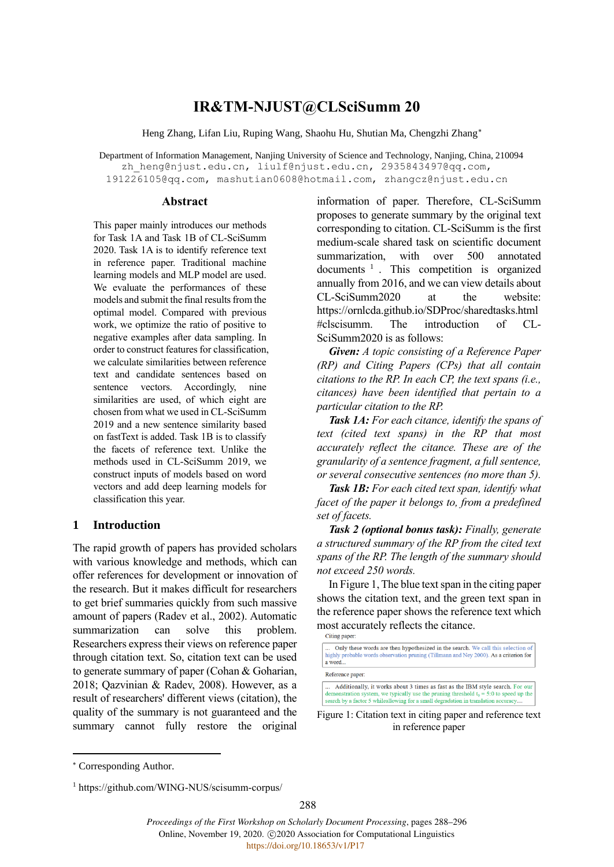# **IR&TM-NJUST@CLSciSumm 20**

Heng Zhang, Lifan Liu, Ruping Wang, Shaohu Hu, Shutian Ma, Chengzhi Zhang

Department of Information Management, Nanjing University of Science and Technology, Nanjing, China, 210094 zh heng@njust.edu.cn, [liulf@njust.edu.cn,](mailto:liulf@njust.edu.cn,) [2935843497@qq.com,](mailto:2935843497@qq.com,) [191226105@qq.com,](mailto:191226105@qq.com,) mashutian0608@hotmail.com, zhangcz@njust.edu.cn

#### **Abstract**

This paper mainly introduces our methods for Task 1A and Task 1B of CL-SciSumm 2020. Task 1A is to identify reference text in reference paper. Traditional machine learning models and MLP model are used. We evaluate the performances of these models and submit the final results from the optimal model. Compared with previous work, we optimize the ratio of positive to negative examples after data sampling. In order to construct features for classification, we calculate similarities between reference text and candidate sentences based on sentence vectors. Accordingly, nine similarities are used, of which eight are chosen from what we used in CL-SciSumm 2019 and a new sentence similarity based on fastText is added. Task 1B is to classify the facets of reference text. Unlike the methods used in CL-SciSumm 2019, we construct inputs of models based on word vectors and add deep learning models for classification this year.

## **1 Introduction**

The rapid growth of papers has provided scholars with various knowledge and methods, which can offer references for development or innovation of the research. But it makes difficult for researchers to get brief summaries quickly from such massive amount of papers (Radev et al., 2002). Automatic summarization can solve this problem. Researchers express their views on reference paper through citation text. So, citation text can be used to generate summary of paper (Cohan & Goharian, 2018; Qazvinian & Radev, 2008). However, as a result of researchers' different views (citation), the quality of the summary is not guaranteed and the summary cannot fully restore the original

information of paper. Therefore, CL-SciSumm proposes to generate summary by the original text corresponding to citation. CL-SciSumm is the first medium-scale shared task on scientific document summarization, with over 500 annotated documents<sup>1</sup>. This competition is organized annually from 2016, and we can view details about CL-SciSumm2020 at the website: https://ornlcda.github.io/SDProc/sharedtasks.html #clscisumm. The introduction of CL-SciSumm2020 is as follows:

*Given: A topic consisting of a Reference Paper (RP) and Citing Papers (CPs) that all contain citations to the RP. In each CP, the text spans (i.e., citances) have been identified that pertain to a particular citation to the RP.*

*Task 1A: For each citance, identify the spans of text (cited text spans) in the RP that most accurately reflect the citance. These are of the granularity of a sentence fragment, a full sentence, or several consecutive sentences (no more than 5).*

*Task 1B: For each cited text span, identify what facet of the paper it belongs to, from a predefined set of facets.*

*Task 2 (optional bonus task): Finally, generate a structured summary of the RP from the cited text spans of the RP. The length of the summary should not exceed 250 words.*

In Figure 1, The blue text span in the citing paper shows the citation text, and the green text span in the reference paper shows the reference text which most accurately reflects the citance.<br>Citing paper:

Reference paper:

Additionally, it works about 3 times as fast as the IBM style search. For our demonstration system, we typically use the pruning threshold  $t_0 = 5.0$  to speed up the search by a factor 5 while<br>allowing for a small degradation in translation accuracy....

Figure 1: Citation text in citing paper and reference text in reference paper

288

Only these words are then hypothesized in the search. We call this selection of hial bable words observation pruning (Tillmann and Ney 2000). As a criterion for  $a word.$ 

Corresponding Author.

<sup>1</sup> https://github.com/WING-NUS/scisumm-corpus/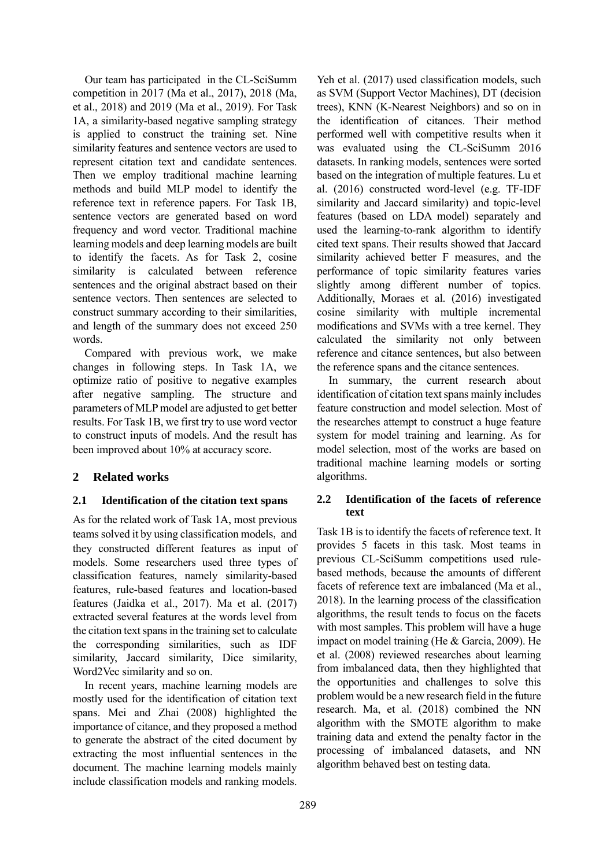Our team has participated in the CL-SciSumm competition in 2017 (Ma et al., 2017), 2018 (Ma, et al., 2018) and 2019 (Ma et al., 2019). For Task 1A, a similarity-based negative sampling strategy is applied to construct the training set. Nine similarity features and sentence vectors are used to represent citation text and candidate sentences. Then we employ traditional machine learning methods and build MLP model to identify the reference text in reference papers. For Task 1B, sentence vectors are generated based on word frequency and word vector. Traditional machine learning models and deep learning models are built to identify the facets. As for Task 2, cosine similarity is calculated between reference sentences and the original abstract based on their sentence vectors. Then sentences are selected to construct summary according to their similarities, and length of the summary does not exceed 250 words.

Compared with previous work, we make changes in following steps. In Task 1A, we optimize ratio of positive to negative examples after negative sampling. The structure and parameters of MLP model are adjusted to get better results. For Task 1B, we first try to use word vector to construct inputs of models. And the result has been improved about 10% at accuracy score.

# **2 Related works**

## **2.1 Identification of the citation text spans**

As for the related work of Task 1A, most previous teams solved it by using classification models, and they constructed different features as input of models. Some researchers used three types of classification features, namely similarity-based features, rule-based features and location-based features (Jaidka et al., 2017). Ma et al. (2017) extracted several features at the words level from the citation text spans in the training set to calculate the corresponding similarities, such as IDF similarity, Jaccard similarity, Dice similarity, Word2Vec similarity and so on.

In recent years, machine learning models are mostly used for the identification of citation text spans. Mei and Zhai (2008) highlighted the importance of citance, and they proposed a method to generate the abstract of the cited document by extracting the most influential sentences in the document. The machine learning models mainly include classification models and ranking models.

Yeh et al. (2017) used classification models, such as SVM (Support Vector Machines), DT (decision trees), KNN (K-Nearest Neighbors) and so on in the identification of citances. Their method performed well with competitive results when it was evaluated using the CL-SciSumm 2016 datasets. In ranking models, sentences were sorted based on the integration of multiple features. Lu et al. (2016) constructed word-level (e.g. TF-IDF similarity and Jaccard similarity) and topic-level features (based on LDA model) separately and used the learning-to-rank algorithm to identify cited text spans. Their results showed that Jaccard similarity achieved better F measures, and the performance of topic similarity features varies slightly among different number of topics. Additionally, Moraes et al. (2016) investigated cosine similarity with multiple incremental modifications and SVMs with a tree kernel. They calculated the similarity not only between reference and citance sentences, but also between the reference spans and the citance sentences.

In summary, the current research about identification of citation text spans mainly includes feature construction and model selection. Most of the researches attempt to construct a huge feature system for model training and learning. As for model selection, most of the works are based on traditional machine learning models or sorting algorithms.

## **2.2 Identification of the facets of reference text**

Task 1B is to identify the facets of reference text. It provides 5 facets in this task. Most teams in previous CL-SciSumm competitions used rulebased methods, because the amounts of different facets of reference text are imbalanced (Ma et al., 2018). In the learning process of the classification algorithms, the result tends to focus on the facets with most samples. This problem will have a huge impact on model training (He & Garcia, 2009). He et al. (2008) reviewed researches about learning from imbalanced data, then they highlighted that the opportunities and challenges to solve this problem would be a new research field in the future research. Ma, et al. (2018) combined the NN algorithm with the SMOTE algorithm to make training data and extend the penalty factor in the processing of imbalanced datasets, and NN algorithm behaved best on testing data.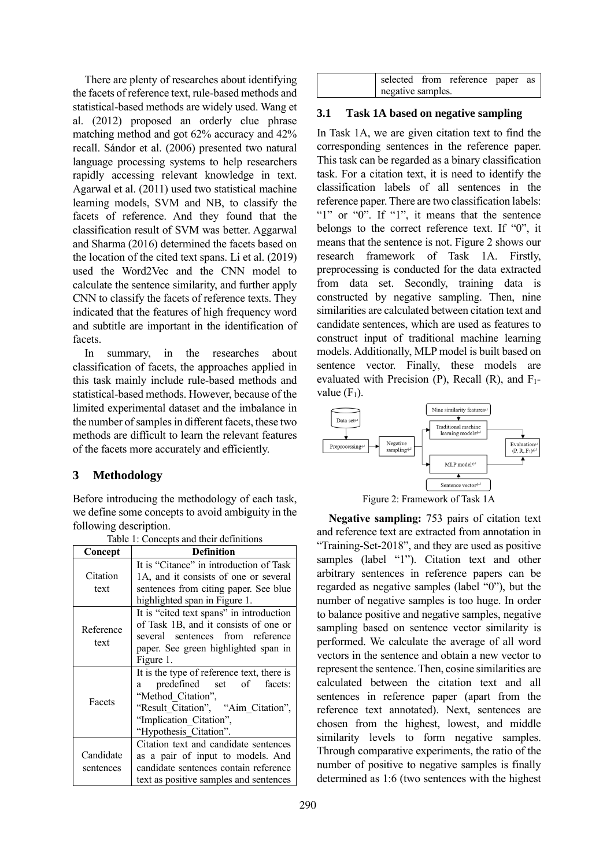There are plenty of researches about identifying the facets of reference text, rule-based methods and statistical-based methods are widely used. Wang et al. (2012) proposed an orderly clue phrase matching method and got 62% accuracy and 42% recall. Sándor et al. (2006) presented two natural language processing systems to help researchers rapidly accessing relevant knowledge in text. Agarwal et al. (2011) used two statistical machine learning models, SVM and NB, to classify the facets of reference. And they found that the classification result of SVM was better. Aggarwal and Sharma (2016) determined the facets based on the location of the cited text spans. Li et al. (2019) used the Word2Vec and the CNN model to calculate the sentence similarity, and further apply CNN to classify the facets of reference texts. They indicated that the features of high frequency word and subtitle are important in the identification of facets.

In summary, in the researches about classification of facets, the approaches applied in this task mainly include rule-based methods and statistical-based methods. However, because of the limited experimental dataset and the imbalance in the number of samples in different facets, these two methods are difficult to learn the relevant features of the facets more accurately and efficiently.

# **3 Methodology**

Before introducing the methodology of each task, we define some concepts to avoid ambiguity in the following description.

|                        | rable 1: Concepts and their definitions                                                                                                                                                       |
|------------------------|-----------------------------------------------------------------------------------------------------------------------------------------------------------------------------------------------|
| Concept                | <b>Definition</b>                                                                                                                                                                             |
| Citation<br>text       | It is "Citance" in introduction of Task<br>1A, and it consists of one or several<br>sentences from citing paper. See blue<br>highlighted span in Figure 1.                                    |
| Reference<br>text      | It is "cited text spans" in introduction<br>of Task 1B, and it consists of one or<br>several sentences from reference<br>paper. See green highlighted span in<br>Figure 1.                    |
| Facets                 | It is the type of reference text, there is<br>predefined set of facets:<br>a<br>"Method Citation",<br>"Result Citation", "Aim Citation",<br>"Implication Citation",<br>"Hypothesis Citation". |
| Candidate<br>sentences | Citation text and candidate sentences<br>as a pair of input to models. And<br>candidate sentences contain reference<br>text as positive samples and sentences                                 |

 $T_{\rm eff}$  is concepts and the first and the first and the first and the first and the first and the first and the first and the first and the first and the first and the first and the first and the first and the first and

|                   | selected from reference paper as |  |
|-------------------|----------------------------------|--|
| negative samples. |                                  |  |

## **3.1 Task 1A based on negative sampling**

In Task 1A, we are given citation text to find the corresponding sentences in the reference paper. This task can be regarded as a binary classification task. For a citation text, it is need to identify the classification labels of all sentences in the reference paper. There are two classification labels: "1" or "0". If "1", it means that the sentence belongs to the correct reference text. If "0", it means that the sentence is not. Figure 2 shows our research framework of Task 1A. Firstly, preprocessing is conducted for the data extracted from data set. Secondly, training data is constructed by negative sampling. Then, nine similarities are calculated between citation text and candidate sentences, which are used as features to construct input of traditional machine learning models. Additionally, MLP model is built based on sentence vector. Finally, these models are evaluated with Precision  $(P)$ , Recall  $(R)$ , and  $F_1$ value  $(F_1)$ .



Figure 2: Framework of Task 1A

**Negative sampling:** 753 pairs of citation text and reference text are extracted from annotation in "Training-Set-2018", and they are used as positive samples (label "1"). Citation text and other arbitrary sentences in reference papers can be regarded as negative samples (label "0"), but the number of negative samples is too huge. In order to balance positive and negative samples, negative sampling based on sentence vector similarity is performed. We calculate the average of all word vectors in the sentence and obtain a new vector to represent the sentence. Then, cosine similarities are calculated between the citation text and all sentences in reference paper (apart from the reference text annotated). Next, sentences are chosen from the highest, lowest, and middle similarity levels to form negative samples. Through comparative experiments, the ratio of the number of positive to negative samples is finally determined as 1:6 (two sentences with the highest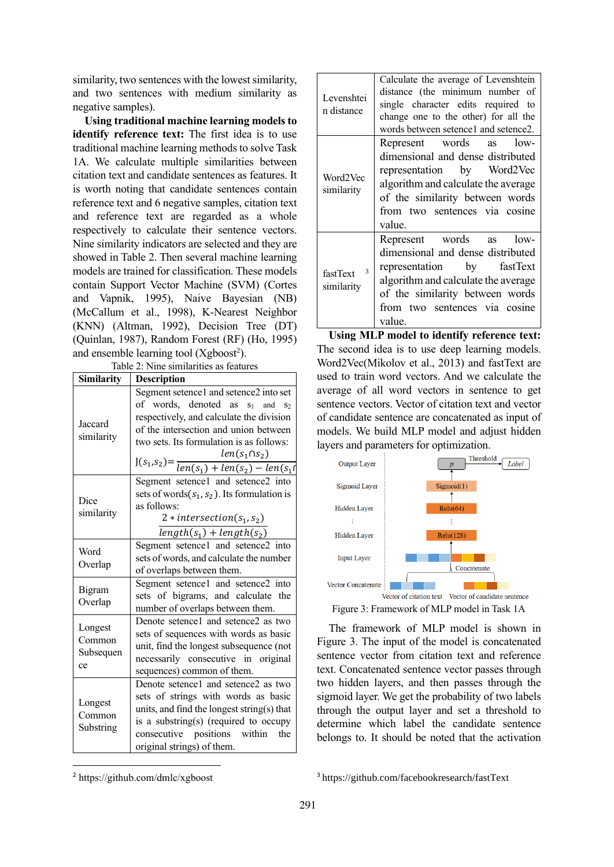similarity, two sentences with the lowest similarity, and two sentences with medium similarity as negative samples).

**Using traditional machine learning models to identify reference text:** The first idea is to use traditional machine learning methods to solve Task 1A. We calculate multiple similarities between citation text and candidate sentences as features. It is worth noting that candidate sentences contain reference text and 6 negative samples, citation text and reference text are regarded as a whole respectively to calculate their sentence vectors. Nine similarity indicators are selected and they are showed in Table 2. Then several machine learning models are trained for classification. These models contain Support Vector Machine (SVM) (Cortes and Vapnik, 1995), Naive Bayesian (NB) (McCallum et al., 1998), K-Nearest Neighbor (KNN) (Altman, 1992), Decision Tree (DT) (Quinlan, 1987), Random Forest (RF) (Ho, 1995) and ensemble learning tool (Xgboost<sup>2</sup>).

Table 2: Nine similarities as features

| <b>Similarity</b>                    | <b>Description</b>                                                                                                                                                                                                                                                                         |  |  |
|--------------------------------------|--------------------------------------------------------------------------------------------------------------------------------------------------------------------------------------------------------------------------------------------------------------------------------------------|--|--|
| Jaccard<br>similarity                | Segment setence1 and setence2 into set<br>of words, denoted as $s_1$ and $s_2$<br>respectively, and calculate the division<br>of the intersection and union between<br>two sets. Its formulation is as follows:<br>$J(s_1,s_2) = \frac{len(s_1 \cup s_2)}{len(s_1) + len(s_2) - len(s_1)}$ |  |  |
| Dice<br>similarity                   | Segment setence1 and setence2 into<br>sets of words $(s_1, s_2)$ . Its formulation is<br>as follows:<br>$2 * intersection(s_1, s_2)$<br>$length(s1) + length(s2)$                                                                                                                          |  |  |
| Word<br>Overlap                      | Segment setence1 and setence2 into<br>sets of words, and calculate the number<br>of overlaps between them.                                                                                                                                                                                 |  |  |
| Bigram<br>Overlap                    | Segment setence1 and setence2 into<br>sets of bigrams, and calculate the<br>number of overlaps between them.                                                                                                                                                                               |  |  |
| Longest<br>Common<br>Subsequen<br>ce | Denote setence1 and setence2 as two<br>sets of sequences with words as basic<br>unit, find the longest subsequence (not<br>necessarily consecutive in original<br>sequences) common of them.                                                                                               |  |  |
| Longest<br>Common<br>Substring       | Denote setence1 and setence2 as two<br>sets of strings with words as basic<br>units, and find the longest string(s) that<br>is a substring(s) (required to occupy<br>consecutive positions within<br>the<br>original strings) of them.                                                     |  |  |

| Levenshtei<br>n distance    | Calculate the average of Levenshtein<br>distance (the minimum number of<br>single character edits required to<br>change one to the other) for all the<br>words between setence1 and setence2.                        |
|-----------------------------|----------------------------------------------------------------------------------------------------------------------------------------------------------------------------------------------------------------------|
| Word2Vec<br>similarity      | Represent words as<br>$low-$<br>dimensional and dense distributed<br>representation by Word2Vec<br>algorithm and calculate the average<br>of the similarity between words<br>from two sentences via cosine<br>value. |
| 3<br>fastText<br>similarity | Represent words as<br>$low-$<br>dimensional and dense distributed<br>representation by fastText<br>algorithm and calculate the average<br>of the similarity between words<br>from two sentences via cosine<br>value. |

**Using MLP model to identify reference text:**  The second idea is to use deep learning models. Word2Vec(Mikolov et al., 2013) and fastText are used to train word vectors. And we calculate the average of all word vectors in sentence to get sentence vectors. Vector of citation text and vector of candidate sentence are concatenated as input of models. We build MLP model and adjust hidden layers and parameters for optimization.



Figure 3: Framework of MLP model in Task 1A

The framework of MLP model is shown in Figure 3. The input of the model is concatenated sentence vector from citation text and reference text. Concatenated sentence vector passes through two hidden layers, and then passes through the sigmoid layer. We get the probability of two labels through the output layer and set a threshold to determine which label the candidate sentence belongs to. It should be noted that the activation

<sup>2</sup> https://github.com/dmlc/xgboost

<sup>3</sup> https://github.com/facebookresearch/fastText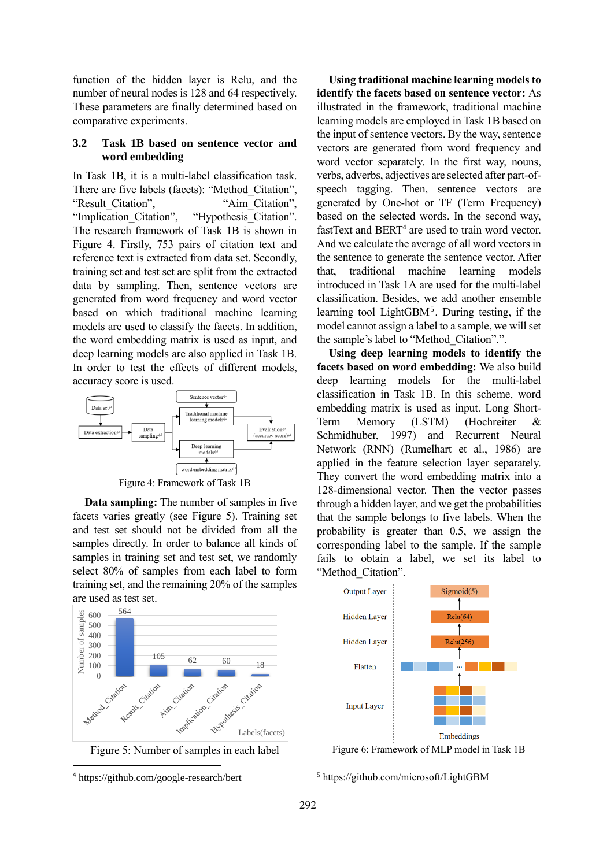function of the hidden layer is Relu, and the number of neural nodes is 128 and 64 respectively. These parameters are finally determined based on comparative experiments.

## **3.2 Task 1B based on sentence vector and word embedding**

In Task 1B, it is a multi-label classification task. There are five labels (facets): "Method\_Citation", "Result Citation", "Aim Citation", "Implication Citation", "Hypothesis Citation". The research framework of Task 1B is shown in Figure 4. Firstly, 753 pairs of citation text and reference text is extracted from data set. Secondly, training set and test set are split from the extracted data by sampling. Then, sentence vectors are generated from word frequency and word vector based on which traditional machine learning models are used to classify the facets. In addition, the word embedding matrix is used as input, and deep learning models are also applied in Task 1B. In order to test the effects of different models, accuracy score is used.





**Data sampling:** The number of samples in five facets varies greatly (see Figure 5). Training set and test set should not be divided from all the samples directly. In order to balance all kinds of samples in training set and test set, we randomly select 80% of samples from each label to form training set, and the remaining 20% of the samples are used as test set.



Figure 5: Number of samples in each label

**Using traditional machine learning models to identify the facets based on sentence vector:** As illustrated in the framework, traditional machine learning models are employed in Task 1B based on the input of sentence vectors. By the way, sentence vectors are generated from word frequency and word vector separately. In the first way, nouns, verbs, adverbs, adjectives are selected after part-ofspeech tagging. Then, sentence vectors are generated by One-hot or TF (Term Frequency) based on the selected words. In the second way, fastText and BERT<sup>4</sup> are used to train word vector. And we calculate the average of all word vectors in the sentence to generate the sentence vector. After that, traditional machine learning models introduced in Task 1A are used for the multi-label classification. Besides, we add another ensemble learning tool LightGBM<sup>5</sup>. During testing, if the model cannot assign a label to a sample, we will set the sample's label to "Method\_Citation".".

**Using deep learning models to identify the facets based on word embedding:** We also build deep learning models for the multi-label classification in Task 1B. In this scheme, word embedding matrix is used as input. Long Short-Term Memory (LSTM) (Hochreiter & Schmidhuber, 1997) and Recurrent Neural Network (RNN) (Rumelhart et al., 1986) are applied in the feature selection layer separately. They convert the word embedding matrix into a 128-dimensional vector. Then the vector passes through a hidden layer, and we get the probabilities that the sample belongs to five labels. When the probability is greater than 0.5, we assign the corresponding label to the sample. If the sample fails to obtain a label, we set its label to "Method Citation".



Figure 6: Framework of MLP model in Task 1B

<sup>5</sup> https://github.com/microsoft/LightGBM

<sup>4</sup> https://github.com/google-research/bert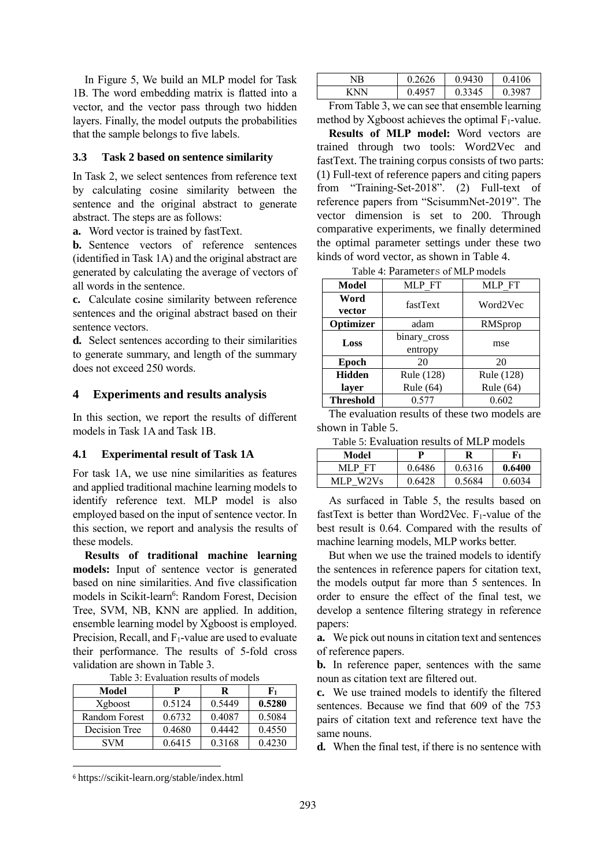In Figure 5, We build an MLP model for Task 1B. The word embedding matrix is flatted into a vector, and the vector pass through two hidden layers. Finally, the model outputs the probabilities that the sample belongs to five labels.

### **3.3 Task 2 based on sentence similarity**

In Task 2, we select sentences from reference text by calculating cosine similarity between the sentence and the original abstract to generate abstract. The steps are as follows:

**a.** Word vector is trained by fastText.

**b.** Sentence vectors of reference sentences (identified in Task 1A) and the original abstract are generated by calculating the average of vectors of all words in the sentence.

**c.** Calculate cosine similarity between reference sentences and the original abstract based on their sentence vectors.

**d.** Select sentences according to their similarities to generate summary, and length of the summary does not exceed 250 words.

#### **4 Experiments and results analysis**

In this section, we report the results of different models in Task 1A and Task 1B.

#### **4.1 Experimental result of Task 1A**

For task 1A, we use nine similarities as features and applied traditional machine learning models to identify reference text. MLP model is also employed based on the input of sentence vector. In this section, we report and analysis the results of these models.

**Results of traditional machine learning models:** Input of sentence vector is generated based on nine similarities. And five classification models in Scikit-learn<sup>6</sup>: Random Forest, Decision Tree, SVM, NB, KNN are applied. In addition, ensemble learning model by Xgboost is employed. Precision, Recall, and  $F_1$ -value are used to evaluate their performance. The results of 5-fold cross validation are shown in Table 3.

| Model         | P      | R      | F1     |
|---------------|--------|--------|--------|
| Xgboost       | 0.5124 | 0.5449 | 0.5280 |
| Random Forest | 0.6732 | 0.4087 | 0.5084 |
| Decision Tree | 0.4680 | 0.4442 | 0.4550 |
| <b>SVM</b>    | 0.6415 | 0.3168 | 0.4230 |

Table 3: Evaluation results of models

| NΒ | 626 | 30    | 06<br>0.4 |
|----|-----|-------|-----------|
| N  | ,57 | .3345 | 3987      |

From Table 3, we can see that ensemble learning method by Xgboost achieves the optimal  $F_1$ -value.

**Results of MLP model:** Word vectors are trained through two tools: Word2Vec and fastText. The training corpus consists of two parts: (1) Full-text of reference papers and citing papers from "Training-Set-2018". (2) Full-text of reference papers from "ScisummNet-2019". The vector dimension is set to 200. Through comparative experiments, we finally determined the optimal parameter settings under these two kinds of word vector, as shown in Table 4.

Table 4: Parameters of MLP models

| Model            | MLP FT       | MLP FT     |
|------------------|--------------|------------|
| Word             | fastText     | Word2Vec   |
| vector           |              |            |
| Optimizer        | adam         | RMSprop    |
| Loss             | binary_cross |            |
|                  | entropy      | mse        |
| Epoch            | 20           | 20         |
| <b>Hidden</b>    | Rule (128)   | Rule (128) |
| layer            | Rule (64)    | Rule (64)  |
| <b>Threshold</b> | 0.577        | 0.602      |

The evaluation results of these two models are shown in Table 5.

Table 5: Evaluation results of MLP models

| Model                     | D      | R      | F1     |
|---------------------------|--------|--------|--------|
| MLP FT                    | 0.6486 | 0.6316 | 0.6400 |
| W <sub>2</sub> Vs<br>MLP. | 0.6428 | 0.5684 | 0.6034 |

As surfaced in Table 5, the results based on fastText is better than Word2Vec. F1-value of the best result is 0.64. Compared with the results of machine learning models, MLP works better.

But when we use the trained models to identify the sentences in reference papers for citation text, the models output far more than 5 sentences. In order to ensure the effect of the final test, we develop a sentence filtering strategy in reference papers:

**a.** We pick out nouns in citation text and sentences of reference papers.

**b.** In reference paper, sentences with the same noun as citation text are filtered out.

**c.** We use trained models to identify the filtered sentences. Because we find that 609 of the 753 pairs of citation text and reference text have the same nouns.

**d.** When the final test, if there is no sentence with

<sup>6</sup> <https://scikit-learn.org/stable/index.html>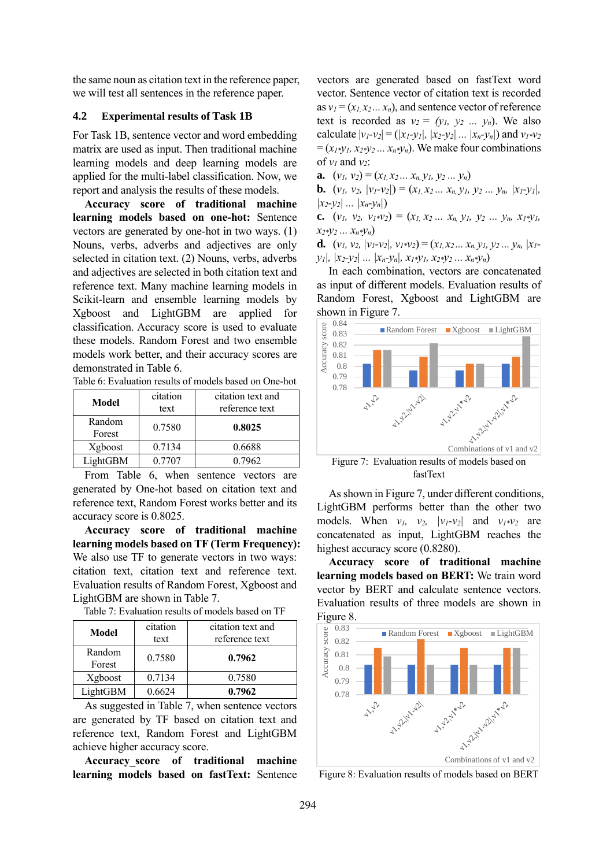the same noun as citation text in the reference paper, we will test all sentences in the reference paper.

### **4.2 Experimental results of Task 1B**

For Task 1B, sentence vector and word embedding matrix are used as input. Then traditional machine learning models and deep learning models are applied for the multi-label classification. Now, we report and analysis the results of these models.

**Accuracy score of traditional machine learning models based on one-hot:** Sentence vectors are generated by one-hot in two ways. (1) Nouns, verbs, adverbs and adjectives are only selected in citation text. (2) Nouns, verbs, adverbs and adjectives are selected in both citation text and reference text. Many machine learning models in Scikit-learn and ensemble learning models by Xgboost and LightGBM are applied for classification. Accuracy score is used to evaluate these models. Random Forest and two ensemble models work better, and their accuracy scores are demonstrated in Table 6.

| Table 6: Evaluation results of models based on One-hot |  |
|--------------------------------------------------------|--|
|--------------------------------------------------------|--|

| Model            | citation | citation text and |  |
|------------------|----------|-------------------|--|
|                  | text     | reference text    |  |
| Random<br>Forest | 0.7580   | 0.8025            |  |
| Xgboost          | 0.7134   | 0.6688            |  |
| LightGBM         | 0.7707   | 0.7962            |  |

From Table 6, when sentence vectors are generated by One-hot based on citation text and reference text, Random Forest works better and its accuracy score is 0.8025.

**Accuracy score of traditional machine learning models based on TF (Term Frequency):** We also use TF to generate vectors in two ways: citation text, citation text and reference text. Evaluation results of Random Forest, Xgboost and LightGBM are shown in Table 7.

Table 7: Evaluation results of models based on TF

| Model            | citation<br>text | citation text and<br>reference text |
|------------------|------------------|-------------------------------------|
| Random<br>Forest | 0.7580           | 0.7962                              |
| Xgboost          | 0.7134           | 0.7580                              |
| LightGBM         | 0.6624           | 0.7962                              |

As suggested in Table 7, when sentence vectors are generated by TF based on citation text and reference text, Random Forest and LightGBM achieve higher accuracy score.

**Accuracy\_score of traditional machine learning models based on fastText:** Sentence vectors are generated based on fastText word vector. Sentence vector of citation text is recorded as  $v_1 = (x_1, x_2, \ldots, x_n)$ , and sentence vector of reference text is recorded as  $v_2 = (y_1, y_2, \ldots, y_n)$ . We also calculate  $|v_1 - v_2| = (|x_1 - y_1|, |x_2 - y_2|, ..., |x_n - y_n|)$  and  $v_1 * v_2$  $=(x_1 * y_1, x_2 * y_2 ... x_n * y_n)$ . We make four combinations of  $v_1$  and  $v_2$ :

**a.**  $(v_1, v_2) = (x_1, x_2, \ldots, x_n, y_1, y_2, \ldots, y_n)$ 

**b.**  $(v_1, v_2, |v_1-v_2|) = (x_1, x_2, \ldots, x_n, y_1, y_2, \ldots, y_n, |x_1-y_1|,$  $|x_2 - y_2|$  ...  $|x_n - y_n|$ 

**c.**  $(v_1, v_2, v_1 * v_2) = (x_1, x_2 ... x_n, y_1, y_2 ... y_n, x_1 * y_1,$ *x2\*y<sup>2</sup> ... xn\*yn*)

**d.**  $(v_1, v_2, |v_1-v_2|, v_1*v_2) = (x_1, x_2... x_n, y_1, y_2... y_n, |x_1-v_2|)$  $y_1$ ,  $|x_2-y_2|$   $\ldots$   $|x_n-y_n|$ ,  $x_1 \times y_1$ ,  $x_2 \times y_2$   $\ldots$   $x_n \times y_n$ )

In each combination, vectors are concatenated as input of different models. Evaluation results of Random Forest, Xgboost and LightGBM are shown in Figure 7.



Figure 7: Evaluation results of models based on fastText

As shown in Figure 7, under different conditions, LightGBM performs better than the other two models. When  $v_1$ ,  $v_2$ ,  $|v_1-v_2|$  and  $v_1 \times v_2$  are concatenated as input, LightGBM reaches the highest accuracy score  $(0.8280)$ .

**Accuracy score of traditional machine learning models based on BERT:** We train word vector by BERT and calculate sentence vectors. Evaluation results of three models are shown in Figure 8.



Figure 8: Evaluation results of models based on BERT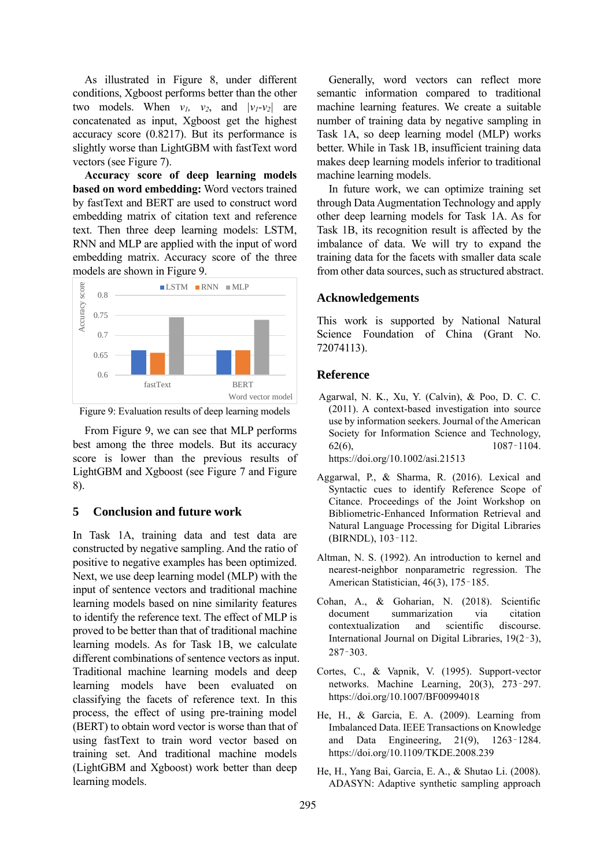As illustrated in Figure 8, under different conditions, Xgboost performs better than the other two models. When  $v_1$ ,  $v_2$ , and  $|v_1 - v_2|$  are concatenated as input, Xgboost get the highest accuracy score (0.8217). But its performance is slightly worse than LightGBM with fastText word vectors (see Figure 7).

**Accuracy score of deep learning models based on word embedding:** Word vectors trained by fastText and BERT are used to construct word embedding matrix of citation text and reference text. Then three deep learning models: LSTM, RNN and MLP are applied with the input of word embedding matrix. Accuracy score of the three models are shown in Figure 9.



Figure 9: Evaluation results of deep learning models

From Figure 9, we can see that MLP performs best among the three models. But its accuracy score is lower than the previous results of LightGBM and Xgboost (see Figure 7 and Figure 8).

## **5 Conclusion and future work**

In Task 1A, training data and test data are constructed by negative sampling. And the ratio of positive to negative examples has been optimized. Next, we use deep learning model (MLP) with the input of sentence vectors and traditional machine learning models based on nine similarity features to identify the reference text. The effect of MLP is proved to be better than that of traditional machine learning models. As for Task 1B, we calculate different combinations of sentence vectors as input. Traditional machine learning models and deep learning models have been evaluated on classifying the facets of reference text. In this process, the effect of using pre-training model (BERT) to obtain word vector is worse than that of using fastText to train word vector based on training set. And traditional machine models (LightGBM and Xgboost) work better than deep learning models.

Generally, word vectors can reflect more semantic information compared to traditional machine learning features. We create a suitable number of training data by negative sampling in Task 1A, so deep learning model (MLP) works better. While in Task 1B, insufficient training data makes deep learning models inferior to traditional machine learning models.

In future work, we can optimize training set through Data Augmentation Technology and apply other deep learning models for Task 1A. As for Task 1B, its recognition result is affected by the imbalance of data. We will try to expand the training data for the facets with smaller data scale from other data sources, such as structured abstract.

## **Acknowledgements**

This work is supported by National Natural Science Foundation of China (Grant No. 72074113).

## **Reference**

- Agarwal, N. K., Xu, Y. (Calvin), & Poo, D. C. C. (2011). A context-based investigation into source use by information seekers. Journal of the American Society for Information Science and Technology,  $62(6)$ ,  $1087-1104$ . https://doi.org/10.1002/asi.21513
- Aggarwal, P., & Sharma, R. (2016). Lexical and Syntactic cues to identify Reference Scope of Citance. Proceedings of the Joint Workshop on Bibliometric-Enhanced Information Retrieval and Natural Language Processing for Digital Libraries (BIRNDL), 103–112.
- Altman, N. S. (1992). An introduction to kernel and nearest-neighbor nonparametric regression. The American Statistician, 46(3), 175–185.
- Cohan, A., & Goharian, N. (2018). Scientific document summarization via citation contextualization and scientific discourse. International Journal on Digital Libraries, 19(2–3), 287–303.
- Cortes, C., & Vapnik, V. (1995). Support-vector networks. Machine Learning, 20(3), 273–297. https://doi.org/10.1007/BF00994018
- He, H., & Garcia, E. A. (2009). Learning from Imbalanced Data. IEEE Transactions on Knowledge and Data Engineering, 21(9), 1263–1284. https://doi.org/10.1109/TKDE.2008.239
- He, H., Yang Bai, Garcia, E. A., & Shutao Li. (2008). ADASYN: Adaptive synthetic sampling approach